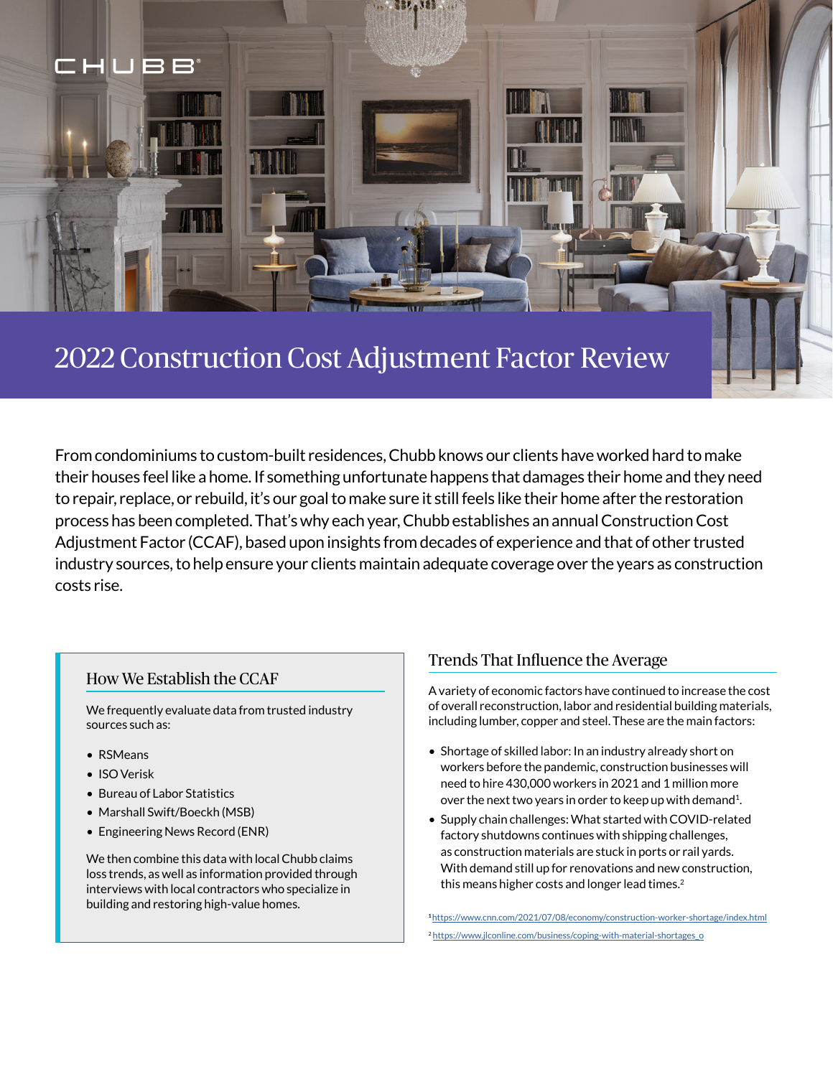

# 2022 Construction Cost Adjustment Factor Review

From condominiums to custom-built residences, Chubb knows our clients have worked hard to make their houses feel like a home. If something unfortunate happens that damages their home and they need to repair, replace, or rebuild, it's our goal to make sure it still feels like their home after the restoration process has been completed. That's why each year, Chubb establishes an annual Construction Cost Adjustment Factor (CCAF), based upon insights from decades of experience and that of other trusted industry sources, to help ensure your clients maintain adequate coverage over the years as construction costs rise.

### How We Establish the CCAF

We frequently evaluate data from trusted industry sources such as:

- RSMeans
- ISO Verisk
- Bureau of Labor Statistics
- Marshall Swift/Boeckh (MSB)
- Engineering News Record (ENR)

We then combine this data with local Chubb claims loss trends, as well as information provided through interviews with local contractors who specialize in building and restoring high-value homes.

### Trends That Influence the Average

A variety of economic factors have continued to increase the cost of overall reconstruction, labor and residential building materials, including lumber, copper and steel. These are the main factors:

- Shortage of skilled labor: In an industry already short on workers before the pandemic, construction businesses will need to hire 430,000 workers in 2021 and 1 million more over the next two years in order to keep up with demand<sup>1</sup>.
- Supply chain challenges: What started with COVID-related factory shutdowns continues with shipping challenges, as construction materials are stuck in ports or rail yards. With demand still up for renovations and new construction, this means higher costs and longer lead times.<sup>2</sup>

**<sup>1</sup>**<https://www.cnn.com/2021/07/08/economy/construction-worker-shortage/index.html> <sup>2</sup> [https://www.jlconline.com/business/coping-with-material-shortages\\_o](https://www.jlconline.com/business/coping-with-material-shortages_o)